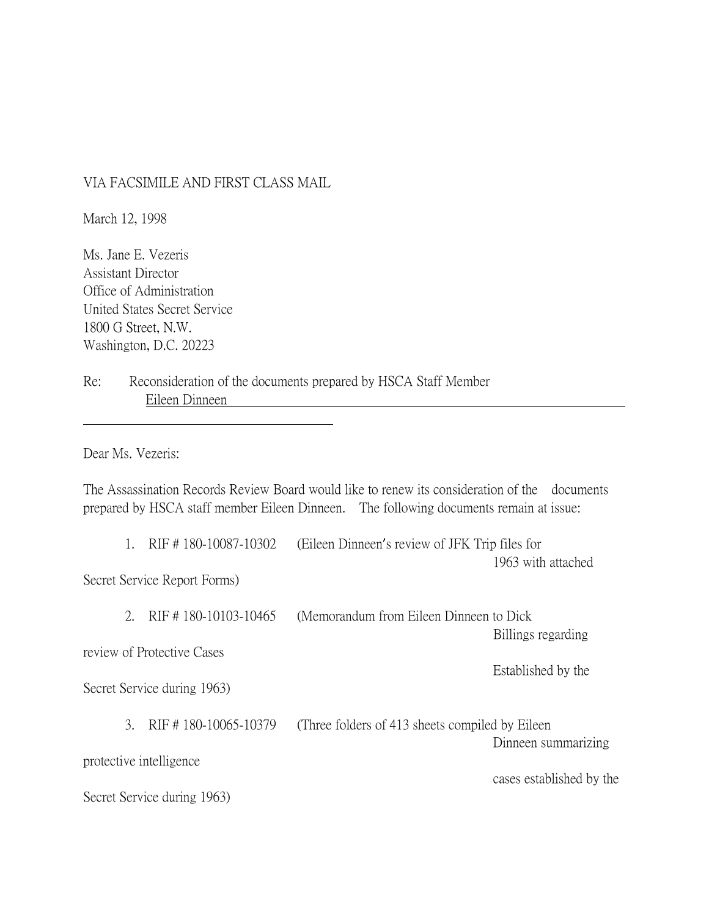## VIA FACSIMILE AND FIRST CLASS MAIL

March 12, 1998

Ms. Jane E. Vezeris Assistant Director Office of Administration United States Secret Service 1800 G Street, N.W. Washington, D.C. 20223

Re: Reconsideration of the documents prepared by HSCA Staff Member Eileen Dinneen

Dear Ms. Vezeris:

The Assassination Records Review Board would like to renew its consideration of the documents prepared by HSCA staff member Eileen Dinneen. The following documents remain at issue:

1. RIF # 180-10087-10302 (Eileen Dinneen's review of JFK Trip files for 1963 with attached

Secret Service Report Forms)

|                                                   |               | RIF #180-10103-10465        | (Memorandum from Eileen Dinneen to Dick)<br>Billings regarding |  |
|---------------------------------------------------|---------------|-----------------------------|----------------------------------------------------------------|--|
| review of Protective Cases                        |               |                             |                                                                |  |
| Established by the<br>Secret Service during 1963) |               |                             |                                                                |  |
|                                                   | $\mathcal{L}$ | RIF #180-10065-10379        | (Three folders of 413 sheets compiled by Eileen)               |  |
|                                                   |               | protective intelligence     | Dinneen summarizing                                            |  |
|                                                   |               | Secret Service during 1963) | cases established by the                                       |  |